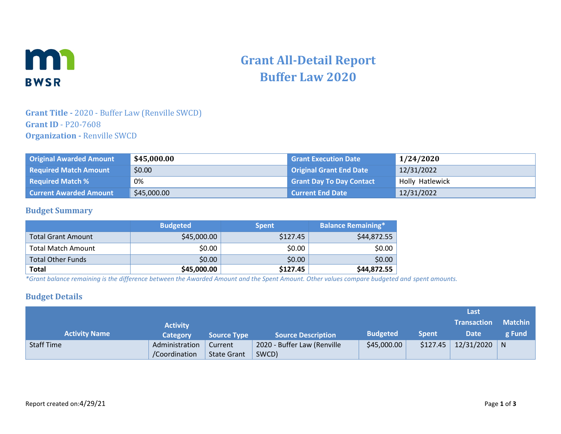

# **Grant All-Detail Report Buffer Law 2020**

## **Grant Title -** 2020 - Buffer Law (Renville SWCD) **Grant ID** - P20-7608 **Organization -** Renville SWCD

| <b>Original Awarded Amount</b> | \$45,000.00 | <b>Grant Execution Date</b>     | 1/24/2020       |
|--------------------------------|-------------|---------------------------------|-----------------|
| <b>Required Match Amount</b>   | \$0.00      | <b>Original Grant End Date</b>  | 12/31/2022      |
| <b>Required Match %</b>        | 0%          | <b>Grant Day To Day Contact</b> | Holly Hatlewick |
| <b>Current Awarded Amount</b>  | \$45,000.00 | Current End Date                | 12/31/2022      |

#### **Budget Summary**

|                           | <b>Budgeted</b> | <b>Spent</b> | <b>Balance Remaining*</b> |
|---------------------------|-----------------|--------------|---------------------------|
| <b>Total Grant Amount</b> | \$45,000.00     | \$127.45     | \$44,872.55               |
| <b>Total Match Amount</b> | \$0.00          | \$0.00       | \$0.00                    |
| <b>Total Other Funds</b>  | \$0.00          | \$0.00       | \$0.00                    |
| <b>Total</b>              | \$45,000.00     | \$127.45     | \$44,872.55               |

*\*Grant balance remaining is the difference between the Awarded Amount and the Spent Amount. Other values compare budgeted and spent amounts.*

#### **Budget Details**

|                      |                 |                    |                             |                 |              | Last               |                |
|----------------------|-----------------|--------------------|-----------------------------|-----------------|--------------|--------------------|----------------|
|                      | <b>Activity</b> |                    |                             |                 |              | <b>Transaction</b> | <b>Matchin</b> |
| <b>Activity Name</b> | Category        | <b>Source Type</b> | <b>Source Description</b>   | <b>Budgeted</b> | <b>Spent</b> | Date               | g Fund         |
| <b>Staff Time</b>    | Administration  | Current            | 2020 - Buffer Law (Renville | \$45,000.00     | \$127.45     | 12/31/2020         | N              |
|                      | /Coordination   | <b>State Grant</b> | SWCD)                       |                 |              |                    |                |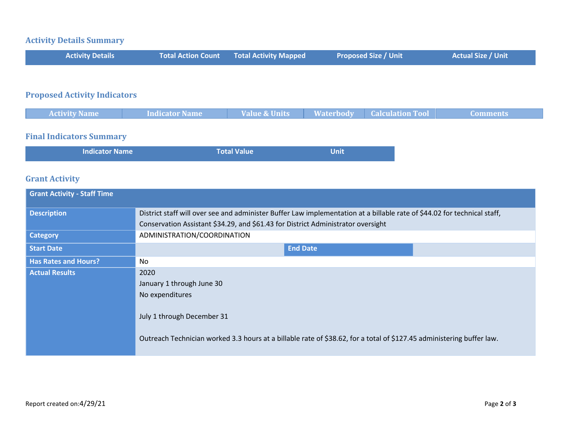# **Activity Details Summary**

| <b>Activity Details</b> | Total Action Count Total Activity Mapped | <b>Proposed Size / Unit</b> | <b>Actual Size / Unit</b> |
|-------------------------|------------------------------------------|-----------------------------|---------------------------|
|                         |                                          |                             |                           |

# **Proposed Activity Indicators**

| <b>Waterbody</b><br>Value & Units<br><b>Calculation To.</b><br><b>Activity Name</b><br><b>Indicator Name</b> |  |  |  |
|--------------------------------------------------------------------------------------------------------------|--|--|--|
|                                                                                                              |  |  |  |

### **Final Indicators Summary**

| Indicator Name | <b>Total Value</b> | <b>Unit</b> |
|----------------|--------------------|-------------|
|                |                    |             |

## **Grant Activity**

| <b>Grant Activity - Staff Time</b> |                                                                                                                                                                                                              |  |  |  |
|------------------------------------|--------------------------------------------------------------------------------------------------------------------------------------------------------------------------------------------------------------|--|--|--|
| <b>Description</b>                 | District staff will over see and administer Buffer Law implementation at a billable rate of \$44.02 for technical staff,<br>Conservation Assistant \$34.29, and \$61.43 for District Administrator oversight |  |  |  |
| <b>Category</b>                    | ADMINISTRATION/COORDINATION                                                                                                                                                                                  |  |  |  |
| <b>Start Date</b>                  | <b>End Date</b>                                                                                                                                                                                              |  |  |  |
| <b>Has Rates and Hours?</b>        | No                                                                                                                                                                                                           |  |  |  |
| <b>Actual Results</b>              | 2020                                                                                                                                                                                                         |  |  |  |
|                                    | January 1 through June 30                                                                                                                                                                                    |  |  |  |
|                                    | No expenditures                                                                                                                                                                                              |  |  |  |
|                                    | July 1 through December 31                                                                                                                                                                                   |  |  |  |
|                                    | Outreach Technician worked 3.3 hours at a billable rate of \$38.62, for a total of \$127.45 administering buffer law.                                                                                        |  |  |  |